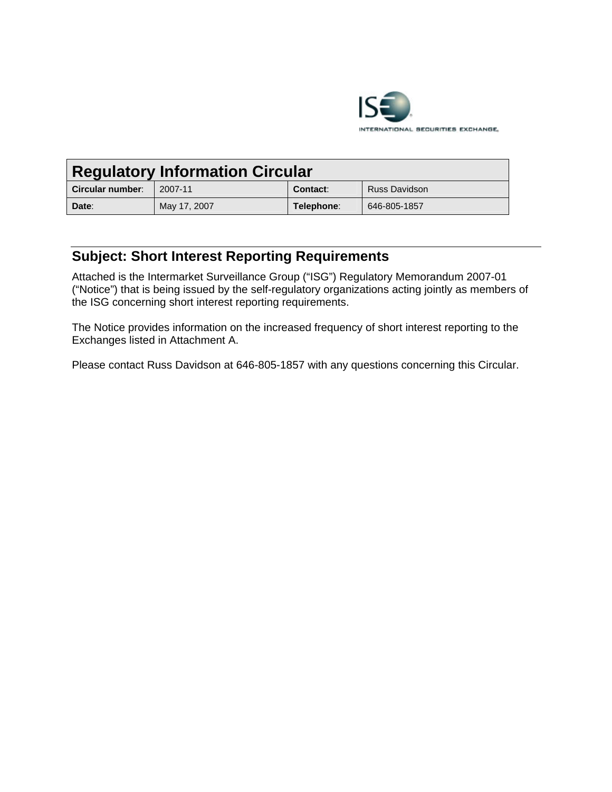

| <b>Regulatory Information Circular</b> |              |            |               |  |
|----------------------------------------|--------------|------------|---------------|--|
| <b>Circular number:</b>                | 2007-11      | Contact:   | Russ Davidson |  |
| Date:                                  | May 17, 2007 | Telephone: | 646-805-1857  |  |

## **Subject: Short Interest Reporting Requirements**

Attached is the Intermarket Surveillance Group ("ISG") Regulatory Memorandum 2007-01 ("Notice") that is being issued by the self-regulatory organizations acting jointly as members of the ISG concerning short interest reporting requirements.

The Notice provides information on the increased frequency of short interest reporting to the Exchanges listed in Attachment A.

Please contact Russ Davidson at 646-805-1857 with any questions concerning this Circular.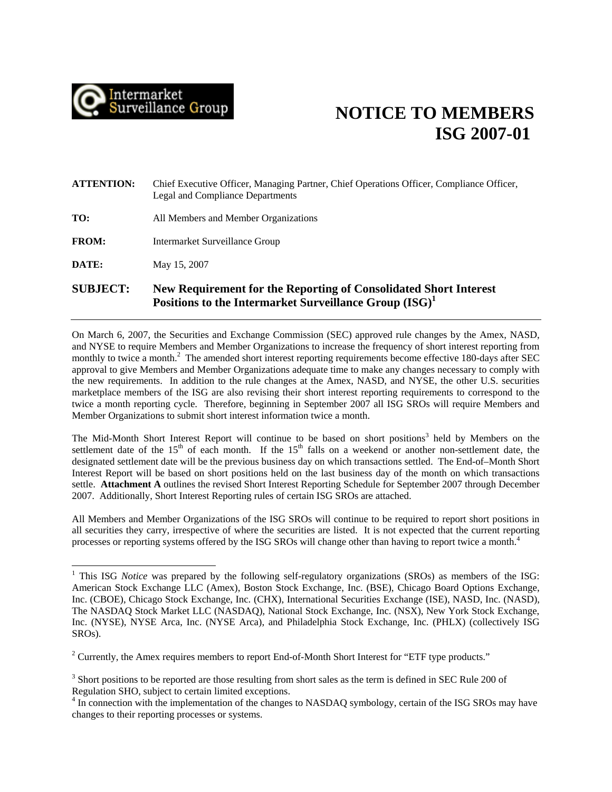

## **NOTICE TO MEMBERS ISG 2007-01**

| <b>SUBJECT:</b>   | New Requirement for the Reporting of Consolidated Short Interest<br>Positions to the Intermarket Surveillance Group (ISG) <sup>1</sup> |  |
|-------------------|----------------------------------------------------------------------------------------------------------------------------------------|--|
| DATE:             | May 15, 2007                                                                                                                           |  |
| <b>FROM:</b>      | Intermarket Surveillance Group                                                                                                         |  |
| TO:               | All Members and Member Organizations                                                                                                   |  |
| <b>ATTENTION:</b> | Chief Executive Officer, Managing Partner, Chief Operations Officer, Compliance Officer,<br>Legal and Compliance Departments           |  |

On March 6, 2007, the Securities and Exchange Commission (SEC) approved rule changes by the Amex, NASD, and NYSE to require Members and Member Organizations to increase the frequency of short interest reporting from monthly to twice a month.<sup>2</sup> The amended short interest reporting requirements become effective 180-days after SEC approval to give Members and Member Organizations adequate time to make any changes necessary to comply with the new requirements. In addition to the rule changes at the Amex, NASD, and NYSE, the other U.S. securities marketplace members of the ISG are also revising their short interest reporting requirements to correspond to the twice a month reporting cycle. Therefore, beginning in September 2007 all ISG SROs will require Members and Member Organizations to submit short interest information twice a month.

The Mid-Month Short Interest Report will continue to be based on short positions<sup>[3](#page-1-2)</sup> held by Members on the settlement date of the  $15<sup>th</sup>$  of each month. If the  $15<sup>th</sup>$  falls on a weekend or another non-settlement date, the designated settlement date will be the previous business day on which transactions settled. The End-of–Month Short Interest Report will be based on short positions held on the last business day of the month on which transactions settle. **Attachment A** outlines the revised Short Interest Reporting Schedule for September 2007 through December 2007. Additionally, Short Interest Reporting rules of certain ISG SROs are attached.

All Members and Member Organizations of the ISG SROs will continue to be required to report short positions in all securities they carry, irrespective of where the securities are listed. It is not expected that the current reporting processes or reporting systems offered by the ISG SROs will change other than having to report twice a month[.4](#page-1-3)

<span id="page-1-0"></span> $\frac{1}{1}$ <sup>1</sup> This ISG *Notice* was prepared by the following self-regulatory organizations (SROs) as members of the ISG: American Stock Exchange LLC (Amex), Boston Stock Exchange, Inc. (BSE), Chicago Board Options Exchange, Inc. (CBOE), Chicago Stock Exchange, Inc. (CHX), International Securities Exchange (ISE), NASD, Inc. (NASD), The NASDAQ Stock Market LLC (NASDAQ), National Stock Exchange, Inc. (NSX), New York Stock Exchange, Inc. (NYSE), NYSE Arca, Inc. (NYSE Arca), and Philadelphia Stock Exchange, Inc. (PHLX) (collectively ISG ROs). S

<span id="page-1-2"></span><span id="page-1-1"></span> $2^2$  Currently, the Amex requires members to report End-of-Month Short Interest for "ETF type products."

<span id="page-1-3"></span> $3$  Short positions to be reported are those resulting from short sales as the term is defined in SEC Rule 200 of Regulation SHO, subject to certain limited exceptions.

In connection with the implementation of the changes to NASDAQ symbology, certain of the ISG SROs may have changes to their reporting processes or systems.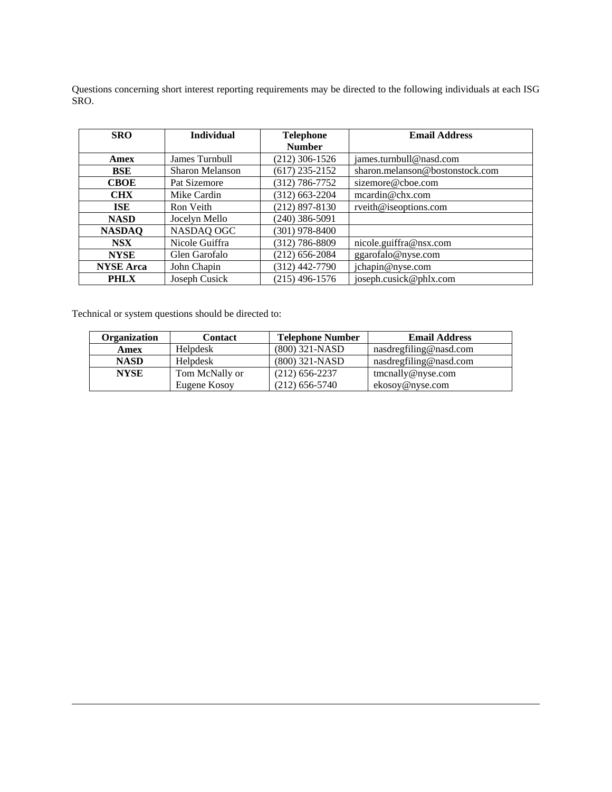Questions concerning short interest reporting requirements may be directed to the following individuals at each ISG SRO.

| <b>SRO</b>       | <b>Individual</b> | <b>Telephone</b> | <b>Email Address</b>            |  |
|------------------|-------------------|------------------|---------------------------------|--|
|                  |                   | <b>Number</b>    |                                 |  |
| Amex             | James Turnbull    | (212) 306-1526   | james.turnbull@nasd.com         |  |
| <b>BSE</b>       | Sharon Melanson   | $(617)$ 235-2152 | sharon.melanson@bostonstock.com |  |
| <b>CBOE</b>      | Pat Sizemore      | (312) 786-7752   | sizemore@cboe.com               |  |
| <b>CHX</b>       | Mike Cardin       | (312) 663-2204   | meardin@chx.com                 |  |
| ISE              | Ron Veith         | $(212)$ 897-8130 | rveith@iseoptions.com           |  |
| <b>NASD</b>      | Jocelyn Mello     | $(240)$ 386-5091 |                                 |  |
| <b>NASDAQ</b>    | NASDAQ OGC        | $(301)$ 978-8400 |                                 |  |
| NSX <sup>1</sup> | Nicole Guiffra    | (312) 786-8809   | nicole.guiffra@nsx.com          |  |
| <b>NYSE</b>      | Glen Garofalo     | (212) 656-2084   | ggarofalo@nyse.com              |  |
| <b>NYSE Arca</b> | John Chapin       | (312) 442-7790   | jchapin@nyse.com                |  |
| <b>PHLX</b>      | Joseph Cusick     | (215) 496-1576   | joseph.cusick@phlx.com          |  |

Technical or system questions should be directed to:

 $\overline{a}$ 

| Organization | Contact        | <b>Telephone Number</b> | <b>Email Address</b>   |
|--------------|----------------|-------------------------|------------------------|
| Amex         | Helpdesk       | $(800)$ 321-NASD        | nasdregfiling@nasd.com |
| <b>NASD</b>  | Helpdesk       | $(800)$ 321-NASD        | nasdregfiling@nasd.com |
| <b>NYSE</b>  | Tom McNally or | $(212)$ 656-2237        | $t$ mcnally@nyse.com   |
|              | Eugene Kosoy   | (212) 656-5740          | ekosoy@nyse.com        |